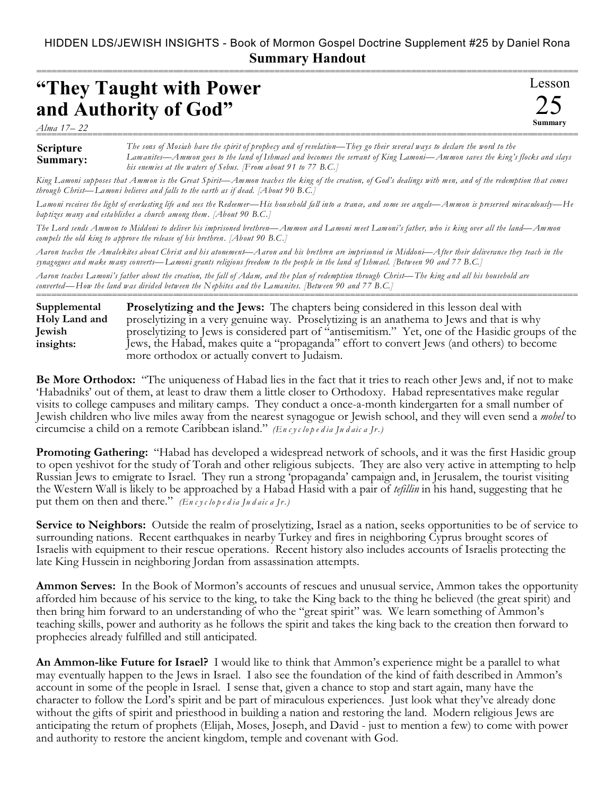## HIDDEN LDS/JEWISH INSIGHTS - Book of Mormon Gospel Doctrine Supplement #25 by Daniel Rona **Summary Handout**

===========================================================================================================

Lesson

25 **Summary**

## **"They Taught with Power and Authority of God"**

*Alma 17– 22* ===========================================================================================================

## **Scripture Summary:** *The sons of Mosiah have the spirit of prophecy and of revelation—They go their several ways to declare the word to the Lamanites—Ammon goes to the land of Ishmael and becomes the servant of King Lamoni—Ammon saves the king's flocks and slays his enemies at the waters of Sebus. [From about 91 to 77 B.C.]*

*King Lamoni supposes that Ammon is the Great Spirit—Ammon teaches the king of the creation, of God's dealings with men, and of the redemption that comes through Christ—Lamoni believes and falls to the earth as if dead. [About 90 B.C.]*

*Lamoni receives the light of everlasting life and sees the Redeemer—His household fall into a trance, and some see angels—Ammon is preserved miraculously—He baptizes many and establishes a church among them. [About 90 B.C.]*

*The Lord sends Ammon to Middoni to deliver his imprisoned brethren—Ammon and Lamoni meet Lamoni's father, who is king over all the land—Ammon compels the old king to approve the release of his brethren. [About 90 B.C.]*

*Aaron teaches the Amalekites about Christ and his atonement—Aaron and his brethren are imprisoned in Middoni—After their deliverance they teach in the synagogues and make many converts—Lamoni grants religious freedom to the peop le in the land of Ishmael. [Between 90 and 77 B.C.]*

*Aaron teaches Lamoni's father about the creation, the fall of Adam, and the plan of redemption through Christ—The king and all his household are converted—How the land was divided between the Nephites and the Lamanites. [Between 90 and 77 B.C.]*

**Proselytizing and the Jews:** The chapters being considered in this lesson deal with proselytizing in a very genuine way. Proselytizing is an anathema to Jews and that is why proselytizing to Jews is considered part of "antisemitism." Yet, one of the Hasidic groups of the Jews, the Habad, makes quite a "propaganda" effort to convert Jews (and others) to become more orthodox or actually convert to Judaism. **Supplemental Holy Land and Jewish insights:**

===========================================================================================================

**Be More Orthodox:** "The uniqueness of Habad lies in the fact that it tries to reach other Jews and, if not to make 'Habadniks' out of them, at least to draw them a little closer to Orthodoxy. Habad representatives make regular visits to college campuses and military camps. They conduct a once-a-month kindergarten for a small number of Jewish children who live miles away from the nearest synagogue or Jewish school, and they will even send a *mohel* to circumcise a child on a remote Caribbean island." *(En c y c lo p e d ia Ju d aic a Jr.)*

**Promoting Gathering:** "Habad has developed a widespread network of schools, and it was the first Hasidic group to open yeshivot for the study of Torah and other religious subjects. They are also very active in attempting to help Russian Jews to emigrate to Israel. They run a strong 'propaganda' campaign and, in Jerusalem, the tourist visiting the Western Wall is likely to be approached by a Habad Hasid with a pair of *tefillin* in his hand, suggesting that he put them on then and there." *(En c y c lo p e d ia Ju d aic a Jr.)*

**Service to Neighbors:** Outside the realm of proselytizing, Israel as a nation, seeks opportunities to be of service to surrounding nations. Recent earthquakes in nearby Turkey and fires in neighboring Cyprus brought scores of Israelis with equipment to their rescue operations. Recent history also includes accounts of Israelis protecting the late King Hussein in neighboring Jordan from assassination attempts.

**Ammon Serves:** In the Book of Mormon's accounts of rescues and unusual service, Ammon takes the opportunity afforded him because of his service to the king, to take the King back to the thing he believed (the great spirit) and then bring him forward to an understanding of who the "great spirit" was. We learn something of Ammon's teaching skills, power and authority as he follows the spirit and takes the king back to the creation then forward to prophecies already fulfilled and still anticipated.

**An Ammon-like Future for Israel?** I would like to think that Ammon's experience might be a parallel to what may eventually happen to the Jews in Israel. I also see the foundation of the kind of faith described in Ammon's account in some of the people in Israel. I sense that, given a chance to stop and start again, many have the character to follow the Lord's spirit and be part of miraculous experiences. Just look what they've already done without the gifts of spirit and priesthood in building a nation and restoring the land. Modern religious Jews are anticipating the return of prophets (Elijah, Moses, Joseph, and David - just to mention a few) to come with power and authority to restore the ancient kingdom, temple and covenant with God.